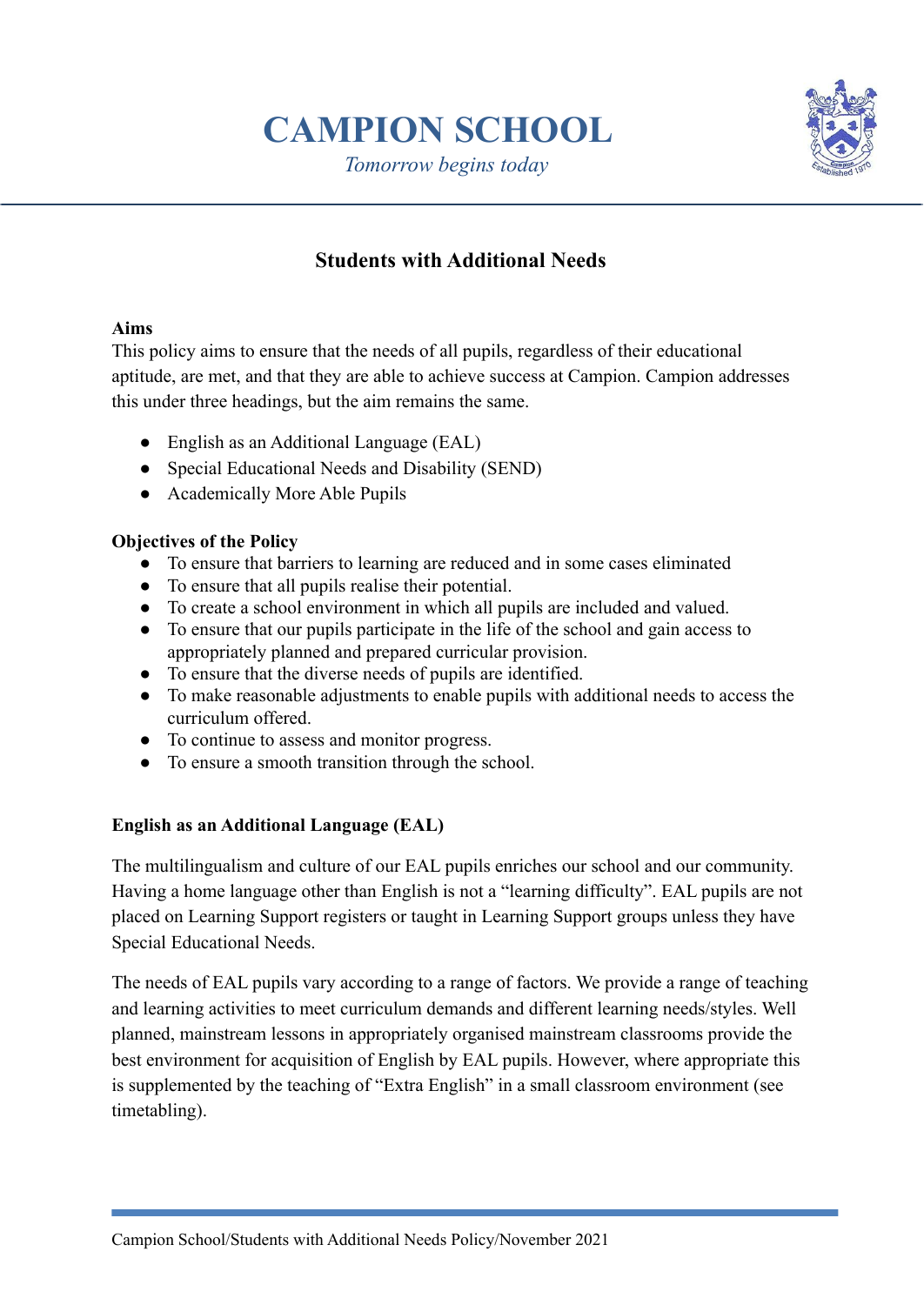# **CAMPION SCHOOL**

*Tomorrow begins today*



## **Students with Additional Needs**

## **Aims**

This policy aims to ensure that the needs of all pupils, regardless of their educational aptitude, are met, and that they are able to achieve success at Campion. Campion addresses this under three headings, but the aim remains the same.

- English as an Additional Language (EAL)
- Special Educational Needs and Disability (SEND)
- Academically More Able Pupils

## **Objectives of the Policy**

- To ensure that barriers to learning are reduced and in some cases eliminated
- To ensure that all pupils realise their potential.
- To create a school environment in which all pupils are included and valued.
- To ensure that our pupils participate in the life of the school and gain access to appropriately planned and prepared curricular provision.
- To ensure that the diverse needs of pupils are identified.
- To make reasonable adjustments to enable pupils with additional needs to access the curriculum offered.
- To continue to assess and monitor progress.
- To ensure a smooth transition through the school.

## **English as an Additional Language (EAL)**

The multilingualism and culture of our EAL pupils enriches our school and our community. Having a home language other than English is not a "learning difficulty". EAL pupils are not placed on Learning Support registers or taught in Learning Support groups unless they have Special Educational Needs.

The needs of EAL pupils vary according to a range of factors. We provide a range of teaching and learning activities to meet curriculum demands and different learning needs/styles. Well planned, mainstream lessons in appropriately organised mainstream classrooms provide the best environment for acquisition of English by EAL pupils. However, where appropriate this is supplemented by the teaching of "Extra English" in a small classroom environment (see timetabling).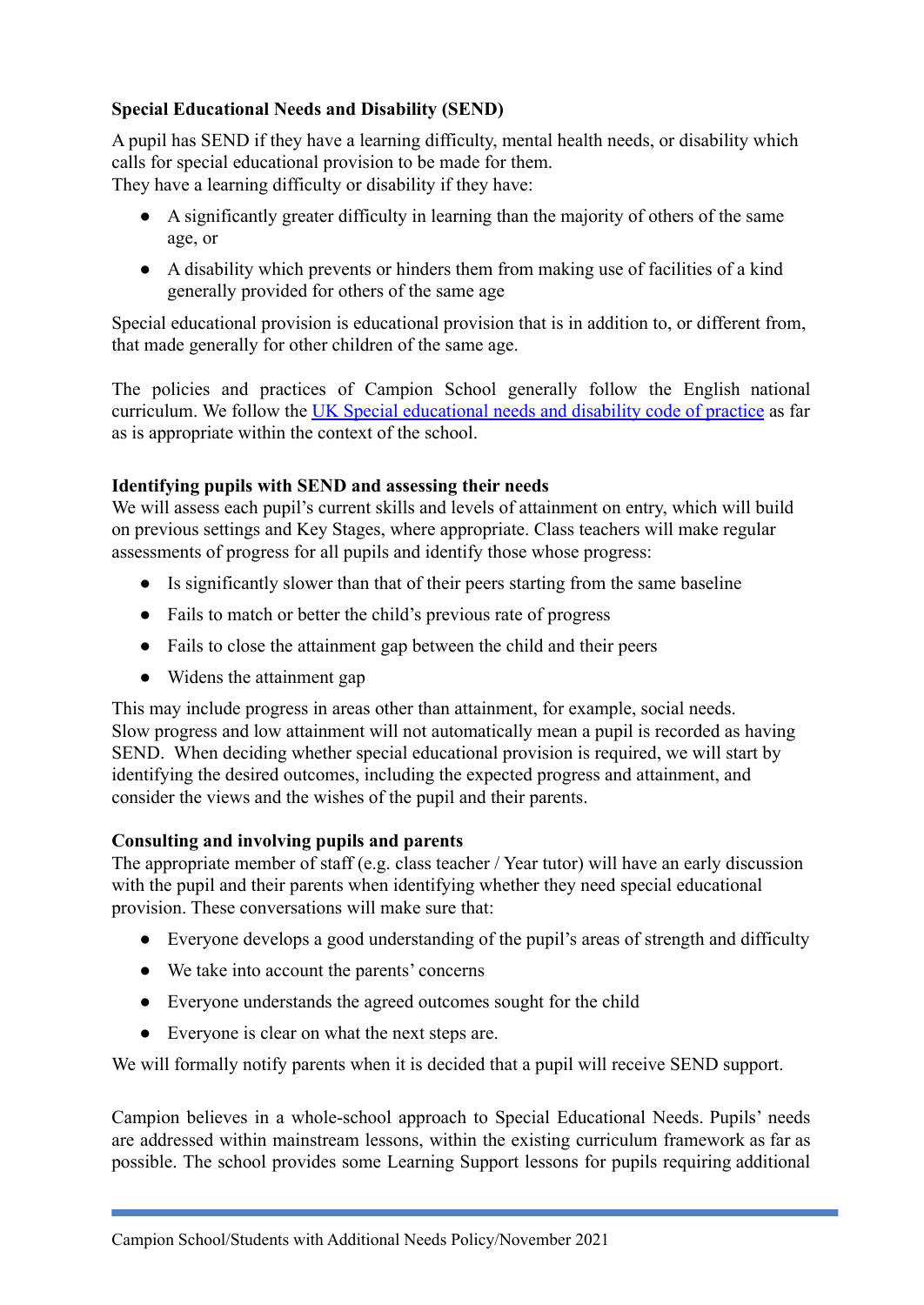## **Special Educational Needs and Disability (SEND)**

A pupil has SEND if they have a learning difficulty, mental health needs, or disability which calls for special educational provision to be made for them. They have a learning difficulty or disability if they have:

- A significantly greater difficulty in learning than the majority of others of the same age, or
- A disability which prevents or hinders them from making use of facilities of a kind generally provided for others of the same age

Special educational provision is educational provision that is in addition to, or different from, that made generally for other children of the same age.

The policies and practices of Campion School generally follow the English national curriculum. We follow the UK Special [educational](https://assets.publishing.service.gov.uk/government/uploads/system/uploads/attachment_data/file/398815/SEND_Code_of_Practice_January_2015.pdf) needs and disability code of practice as far as is appropriate within the context of the school.

## **Identifying pupils with SEND and assessing their needs**

We will assess each pupil's current skills and levels of attainment on entry, which will build on previous settings and Key Stages, where appropriate. Class teachers will make regular assessments of progress for all pupils and identify those whose progress:

- Is significantly slower than that of their peers starting from the same baseline
- Fails to match or better the child's previous rate of progress
- Fails to close the attainment gap between the child and their peers
- Widens the attainment gap

This may include progress in areas other than attainment, for example, social needs. Slow progress and low attainment will not automatically mean a pupil is recorded as having SEND. When deciding whether special educational provision is required, we will start by identifying the desired outcomes, including the expected progress and attainment, and consider the views and the wishes of the pupil and their parents.

## **Consulting and involving pupils and parents**

The appropriate member of staff (e.g. class teacher / Year tutor) will have an early discussion with the pupil and their parents when identifying whether they need special educational provision. These conversations will make sure that:

- Everyone develops a good understanding of the pupil's areas of strength and difficulty
- We take into account the parents' concerns
- Everyone understands the agreed outcomes sought for the child
- Everyone is clear on what the next steps are.

We will formally notify parents when it is decided that a pupil will receive SEND support.

Campion believes in a whole-school approach to Special Educational Needs. Pupils' needs are addressed within mainstream lessons, within the existing curriculum framework as far as possible. The school provides some Learning Support lessons for pupils requiring additional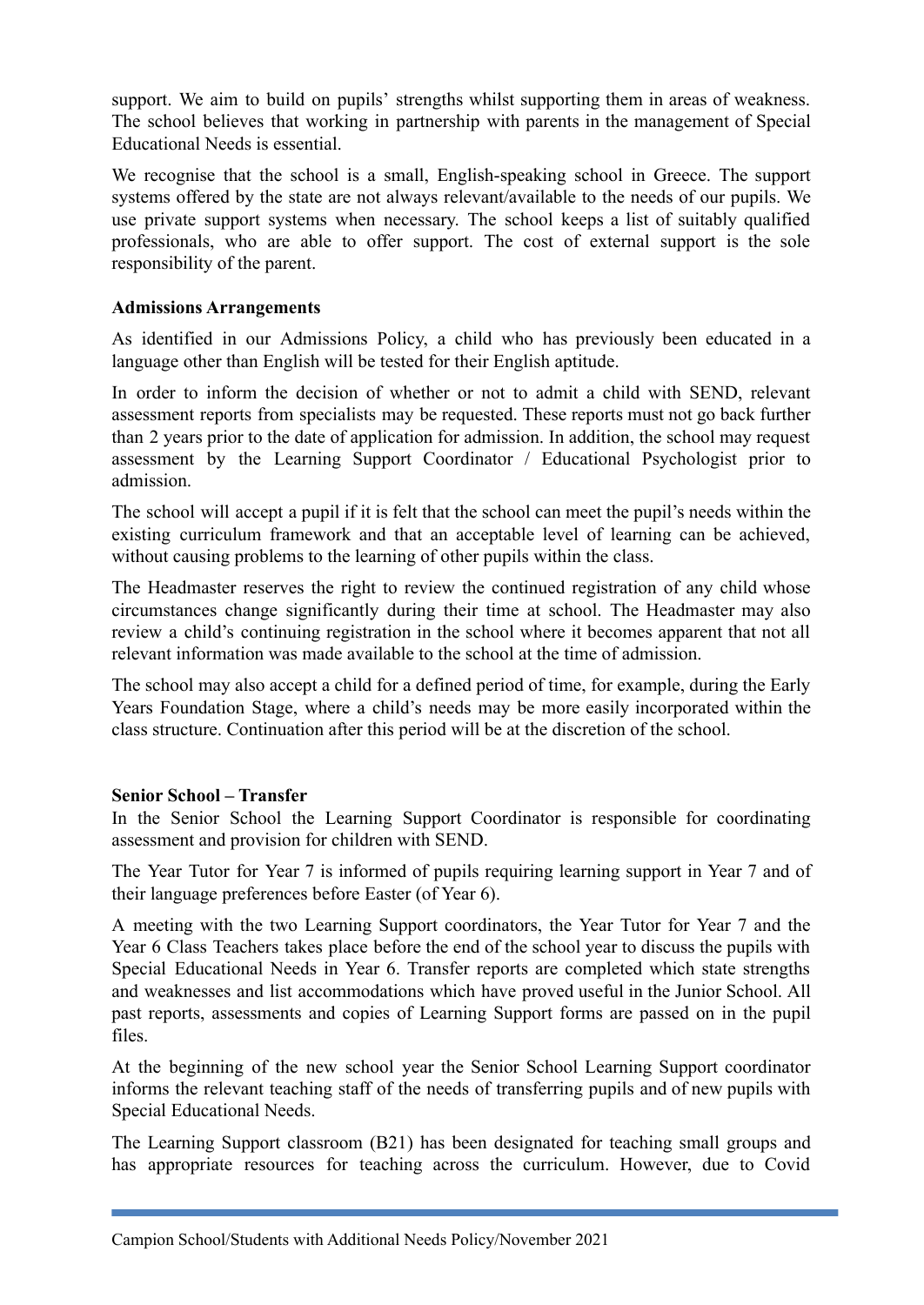support. We aim to build on pupils' strengths whilst supporting them in areas of weakness. The school believes that working in partnership with parents in the management of Special Educational Needs is essential.

We recognise that the school is a small, English-speaking school in Greece. The support systems offered by the state are not always relevant/available to the needs of our pupils. We use private support systems when necessary. The school keeps a list of suitably qualified professionals, who are able to offer support. The cost of external support is the sole responsibility of the parent.

#### **Admissions Arrangements**

As identified in our Admissions Policy, a child who has previously been educated in a language other than English will be tested for their English aptitude.

In order to inform the decision of whether or not to admit a child with SEND, relevant assessment reports from specialists may be requested. These reports must not go back further than 2 years prior to the date of application for admission. In addition, the school may request assessment by the Learning Support Coordinator / Educational Psychologist prior to admission.

The school will accept a pupil if it is felt that the school can meet the pupil's needs within the existing curriculum framework and that an acceptable level of learning can be achieved, without causing problems to the learning of other pupils within the class.

The Headmaster reserves the right to review the continued registration of any child whose circumstances change significantly during their time at school. The Headmaster may also review a child's continuing registration in the school where it becomes apparent that not all relevant information was made available to the school at the time of admission.

The school may also accept a child for a defined period of time, for example, during the Early Years Foundation Stage, where a child's needs may be more easily incorporated within the class structure. Continuation after this period will be at the discretion of the school.

#### **Senior School – Transfer**

In the Senior School the Learning Support Coordinator is responsible for coordinating assessment and provision for children with SEND.

The Year Tutor for Year 7 is informed of pupils requiring learning support in Year 7 and of their language preferences before Easter (of Year 6).

A meeting with the two Learning Support coordinators, the Year Tutor for Year 7 and the Year 6 Class Teachers takes place before the end of the school year to discuss the pupils with Special Educational Needs in Year 6. Transfer reports are completed which state strengths and weaknesses and list accommodations which have proved useful in the Junior School. All past reports, assessments and copies of Learning Support forms are passed on in the pupil files.

At the beginning of the new school year the Senior School Learning Support coordinator informs the relevant teaching staff of the needs of transferring pupils and of new pupils with Special Educational Needs.

The Learning Support classroom (B21) has been designated for teaching small groups and has appropriate resources for teaching across the curriculum. However, due to Covid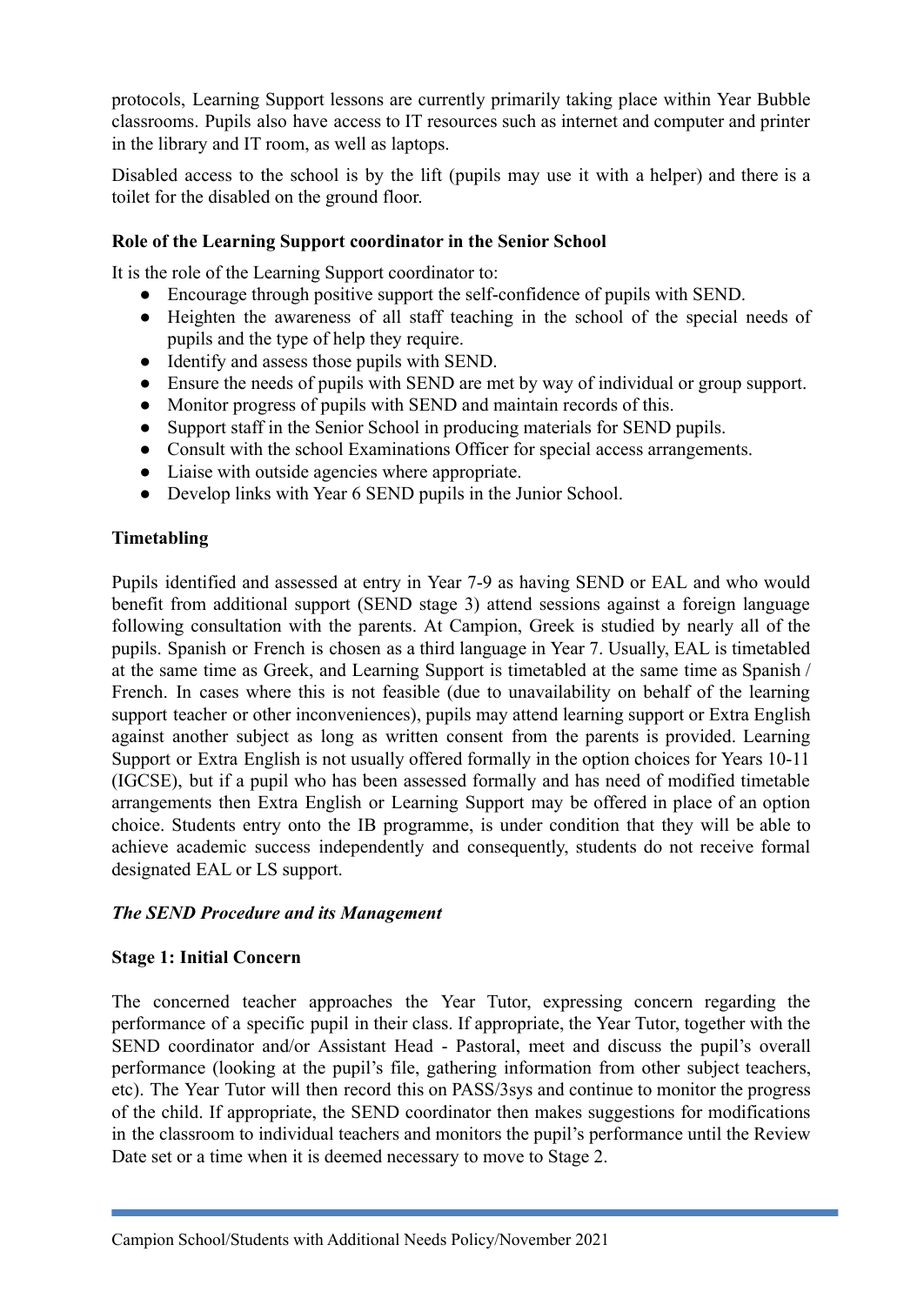protocols, Learning Support lessons are currently primarily taking place within Year Bubble classrooms. Pupils also have access to IT resources such as internet and computer and printer in the library and IT room, as well as laptops.

Disabled access to the school is by the lift (pupils may use it with a helper) and there is a toilet for the disabled on the ground floor.

### **Role of the Learning Support coordinator in the Senior School**

It is the role of the Learning Support coordinator to:

- **●** Encourage through positive support the self-confidence of pupils with SEND.
- **●** Heighten the awareness of all staff teaching in the school of the special needs of pupils and the type of help they require.
- **●** Identify and assess those pupils with SEND.
- **●** Ensure the needs of pupils with SEND are met by way of individual or group support.
- **●** Monitor progress of pupils with SEND and maintain records of this.
- **●** Support staff in the Senior School in producing materials for SEND pupils.
- **●** Consult with the school Examinations Officer for special access arrangements.
- **●** Liaise with outside agencies where appropriate.
- **●** Develop links with Year 6 SEND pupils in the Junior School.

## **Timetabling**

Pupils identified and assessed at entry in Year 7-9 as having SEND or EAL and who would benefit from additional support (SEND stage 3) attend sessions against a foreign language following consultation with the parents. At Campion, Greek is studied by nearly all of the pupils. Spanish or French is chosen as a third language in Year 7. Usually, EAL is timetabled at the same time as Greek, and Learning Support is timetabled at the same time as Spanish / French. In cases where this is not feasible (due to unavailability on behalf of the learning support teacher or other inconveniences), pupils may attend learning support or Extra English against another subject as long as written consent from the parents is provided. Learning Support or Extra English is not usually offered formally in the option choices for Years 10-11 (IGCSE), but if a pupil who has been assessed formally and has need of modified timetable arrangements then Extra English or Learning Support may be offered in place of an option choice. Students entry onto the IB programme, is under condition that they will be able to achieve academic success independently and consequently, students do not receive formal designated EAL or LS support.

#### *The SEND Procedure and its Management*

#### **Stage 1: Initial Concern**

The concerned teacher approaches the Year Tutor, expressing concern regarding the performance of a specific pupil in their class. If appropriate, the Year Tutor, together with the SEND coordinator and/or Assistant Head - Pastoral, meet and discuss the pupil's overall performance (looking at the pupil's file, gathering information from other subject teachers, etc). The Year Tutor will then record this on PASS/3sys and continue to monitor the progress of the child. If appropriate, the SEND coordinator then makes suggestions for modifications in the classroom to individual teachers and monitors the pupil's performance until the Review Date set or a time when it is deemed necessary to move to Stage 2.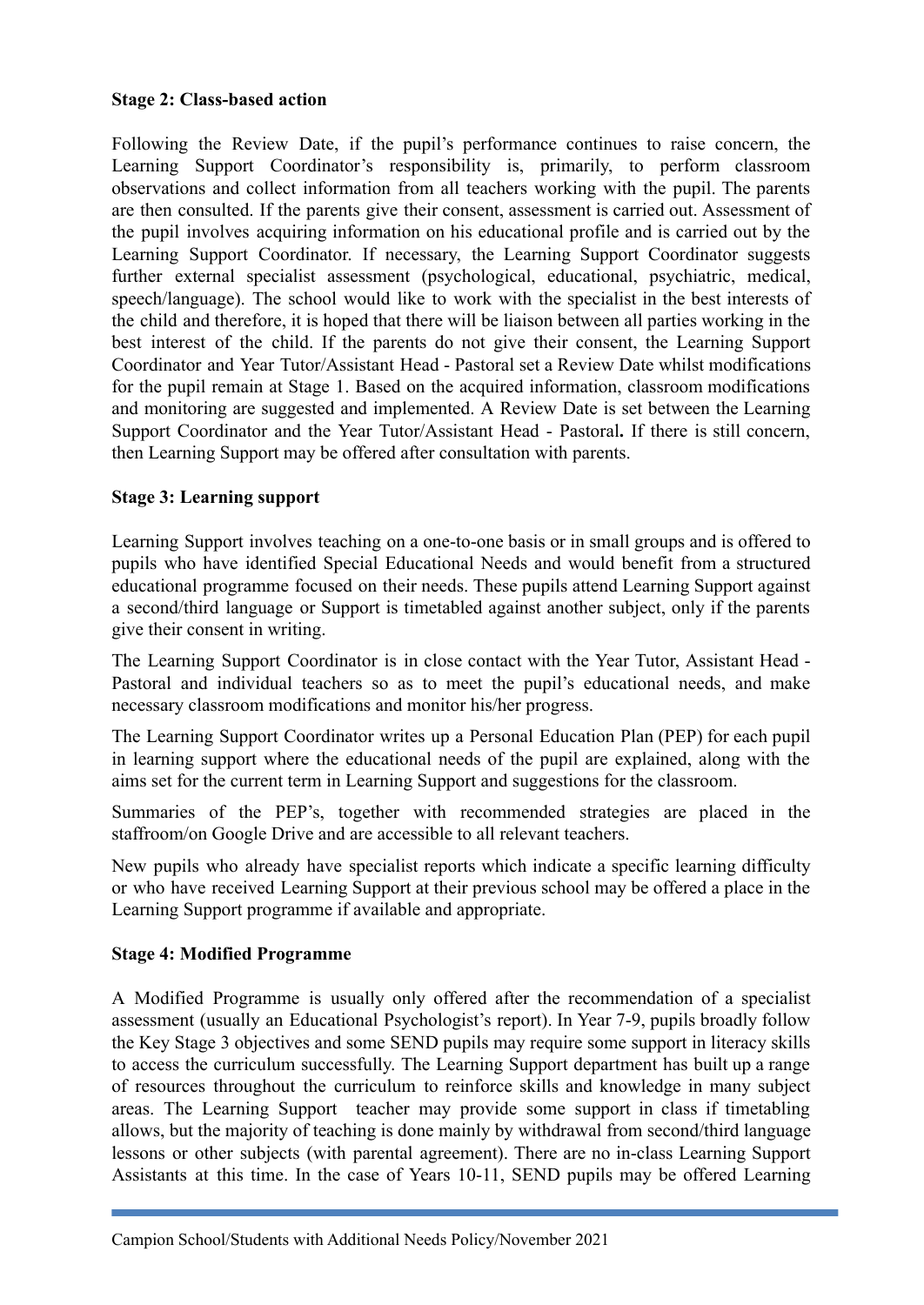#### **Stage 2: Class-based action**

Following the Review Date, if the pupil's performance continues to raise concern, the Learning Support Coordinator's responsibility is, primarily, to perform classroom observations and collect information from all teachers working with the pupil. The parents are then consulted. If the parents give their consent, assessment is carried out. Assessment of the pupil involves acquiring information on his educational profile and is carried out by the Learning Support Coordinator. If necessary, the Learning Support Coordinator suggests further external specialist assessment (psychological, educational, psychiatric, medical, speech/language). The school would like to work with the specialist in the best interests of the child and therefore, it is hoped that there will be liaison between all parties working in the best interest of the child. If the parents do not give their consent, the Learning Support Coordinator and Year Tutor/Assistant Head - Pastoral set a Review Date whilst modifications for the pupil remain at Stage 1. Based on the acquired information, classroom modifications and monitoring are suggested and implemented. A Review Date is set between the Learning Support Coordinator and the Year Tutor/Assistant Head - Pastoral**.** If there is still concern, then Learning Support may be offered after consultation with parents.

## **Stage 3: Learning support**

Learning Support involves teaching on a one-to-one basis or in small groups and is offered to pupils who have identified Special Educational Needs and would benefit from a structured educational programme focused on their needs. These pupils attend Learning Support against a second/third language or Support is timetabled against another subject, only if the parents give their consent in writing.

The Learning Support Coordinator is in close contact with the Year Tutor, Assistant Head - Pastoral and individual teachers so as to meet the pupil's educational needs, and make necessary classroom modifications and monitor his/her progress.

The Learning Support Coordinator writes up a Personal Education Plan (PEP) for each pupil in learning support where the educational needs of the pupil are explained, along with the aims set for the current term in Learning Support and suggestions for the classroom.

Summaries of the PEP's, together with recommended strategies are placed in the staffroom/on Google Drive and are accessible to all relevant teachers.

New pupils who already have specialist reports which indicate a specific learning difficulty or who have received Learning Support at their previous school may be offered a place in the Learning Support programme if available and appropriate.

#### **Stage 4: Modified Programme**

A Modified Programme is usually only offered after the recommendation of a specialist assessment (usually an Educational Psychologist's report). In Year 7-9, pupils broadly follow the Key Stage 3 objectives and some SEND pupils may require some support in literacy skills to access the curriculum successfully. The Learning Support department has built up a range of resources throughout the curriculum to reinforce skills and knowledge in many subject areas. The Learning Support teacher may provide some support in class if timetabling allows, but the majority of teaching is done mainly by withdrawal from second/third language lessons or other subjects (with parental agreement). There are no in-class Learning Support Assistants at this time. In the case of Years 10-11, SEND pupils may be offered Learning